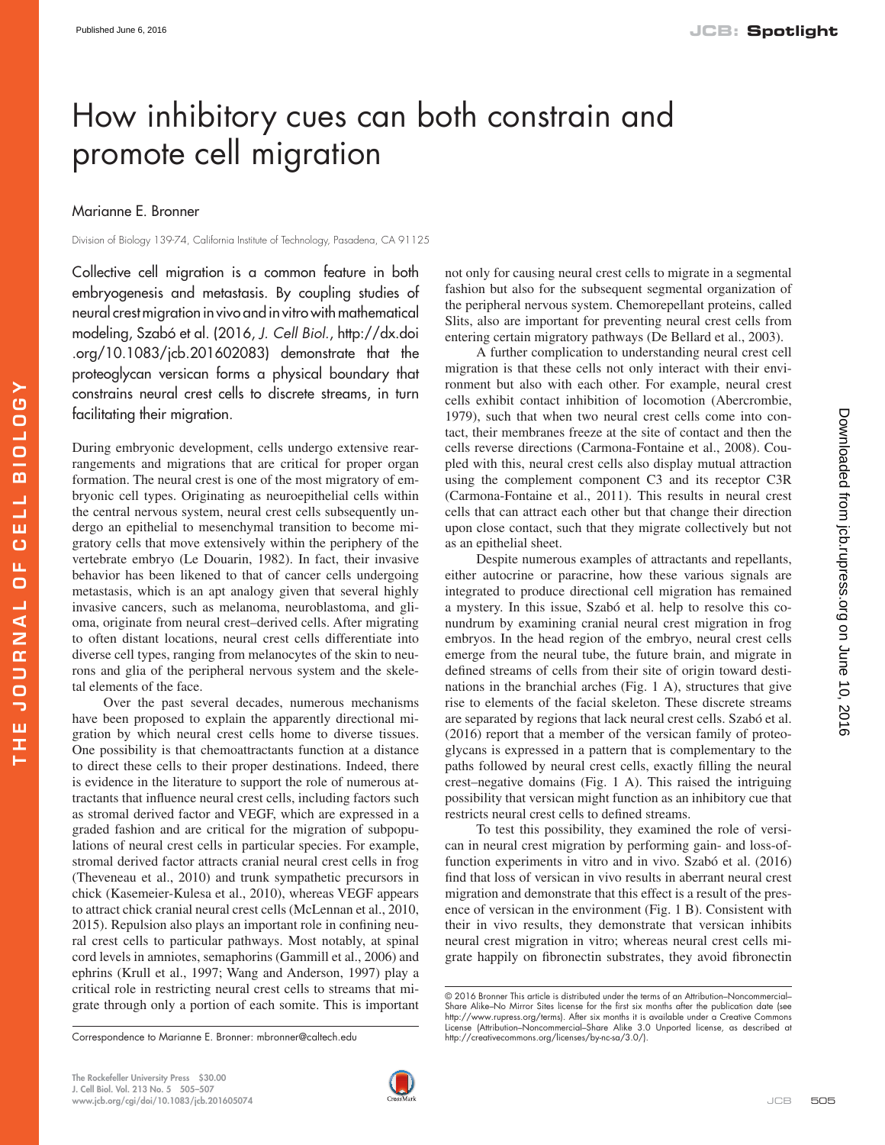## How inhibitory cues can both constrain and promote cell migration

## Marianne E. Bronner

Division of Biology 139-74, California Institute of Technology, Pasadena, CA 91125

Collective cell migration is a common feature in both embryogenesis and metastasis. By coupling studies of neural crest migration in vivo and in vitro with mathematical modeling, Szabó et al. (2016, *J. Cell Biol.*, [http://dx.doi](http://dx.doi.org/10.1083/jcb.201602083) [.org/10.1083/jcb.201602083](http://dx.doi.org/10.1083/jcb.201602083)) demonstrate that the proteoglycan versican forms a physical boundary that constrains neural crest cells to discrete streams, in turn facilitating their migration.

During embryonic development, cells undergo extensive rearrangements and migrations that are critical for proper organ formation. The neural crest is one of the most migratory of embryonic cell types. Originating as neuroepithelial cells within the central nervous system, neural crest cells subsequently undergo an epithelial to mesenchymal transition to become migratory cells that move extensively within the periphery of the vertebrate embryo [\(Le Douarin, 1982](#page-2-0)). In fact, their invasive behavior has been likened to that of cancer cells undergoing metastasis, which is an apt analogy given that several highly invasive cancers, such as melanoma, neuroblastoma, and glioma, originate from neural crest–derived cells. After migrating to often distant locations, neural crest cells differentiate into diverse cell types, ranging from melanocytes of the skin to neurons and glia of the peripheral nervous system and the skeletal elements of the face.

Over the past several decades, numerous mechanisms have been proposed to explain the apparently directional migration by which neural crest cells home to diverse tissues. One possibility is that chemoattractants function at a distance to direct these cells to their proper destinations. Indeed, there is evidence in the literature to support the role of numerous attractants that influence neural crest cells, including factors such as stromal derived factor and VEGF, which are expressed in a graded fashion and are critical for the migration of subpopulations of neural crest cells in particular species. For example, stromal derived factor attracts cranial neural crest cells in frog [\(Theveneau et al., 2010\)](#page-2-1) and trunk sympathetic precursors in chick [\(Kasemeier-Kulesa et al., 2010\)](#page-1-0), whereas VEGF appears to attract chick cranial neural crest cells [\(McLennan et al., 2010,](#page-2-2) [2015](#page-2-3)). Repulsion also plays an important role in confining neural crest cells to particular pathways. Most notably, at spinal cord levels in amniotes, semaphorins ([Gammill et al., 2006](#page-1-1)) and ephrins [\(Krull et al., 1997](#page-1-2); [Wang and Anderson, 1997\)](#page-2-4) play a critical role in restricting neural crest cells to streams that migrate through only a portion of each somite. This is important not only for causing neural crest cells to migrate in a segmental fashion but also for the subsequent segmental organization of the peripheral nervous system. Chemorepellant proteins, called Slits, also are important for preventing neural crest cells from entering certain migratory pathways ([De Bellard et al., 2003\)](#page-1-3).

A further complication to understanding neural crest cell migration is that these cells not only interact with their environment but also with each other. For example, neural crest cells exhibit contact inhibition of locomotion ([Abercrombie,](#page-1-4)  [1979](#page-1-4)), such that when two neural crest cells come into contact, their membranes freeze at the site of contact and then the cells reverse directions [\(Carmona-Fontaine et al., 2008](#page-1-5)). Coupled with this, neural crest cells also display mutual attraction using the complement component C3 and its receptor C3R [\(Carmona-Fontaine et al., 2011\)](#page-1-6). This results in neural crest cells that can attract each other but that change their direction upon close contact, such that they migrate collectively but not as an epithelial sheet.

Despite numerous examples of attractants and repellants, either autocrine or paracrine, how these various signals are integrated to produce directional cell migration has remained a mystery. In this issue, Szabó et al. help to resolve this conundrum by examining cranial neural crest migration in frog embryos. In the head region of the embryo, neural crest cells emerge from the neural tube, the future brain, and migrate in defined streams of cells from their site of origin toward destinations in the branchial arches ([Fig. 1 A\)](#page-1-7), structures that give rise to elements of the facial skeleton. These discrete streams are separated by regions that lack neural crest cells. [Szabó et al.](#page-2-5)  [\(2016\)](#page-2-5) report that a member of the versican family of proteoglycans is expressed in a pattern that is complementary to the paths followed by neural crest cells, exactly filling the neural crest–negative domains [\(Fig. 1 A](#page-1-7)). This raised the intriguing possibility that versican might function as an inhibitory cue that restricts neural crest cells to defined streams.

To test this possibility, they examined the role of versican in neural crest migration by performing gain- and loss-offunction experiments in vitro and in vivo. [Szabó et al. \(2016\)](#page-2-5)  find that loss of versican in vivo results in aberrant neural crest migration and demonstrate that this effect is a result of the presence of versican in the environment [\(Fig. 1 B\)](#page-1-7). Consistent with their in vivo results, they demonstrate that versican inhibits neural crest migration in vitro; whereas neural crest cells migrate happily on fibronectin substrates, they avoid fibronectin



Downloaded from [jcb.rupress.org](http://jcb.rupress.org/) on June 10, 2016

Downloaded from jcb.rupress.org on June 10, 2016

Correspondence to Marianne E. Bronner: [mbronner@caltech.edu](mailto:) <http://creativecommons.org/licenses/by-nc-sa/3.0/>).

<sup>© 2016</sup> Bronner This article is distributed under the terms of an Attribution–Noncommercial– Share Alike–No Mirror Sites license for the first six months after the publication date (see [http://www.rupress.org/terms\)](http://www.rupress.org/terms). After six months it is available under a Creative Commons License (Attribution–Noncommercial–Share Alike 3.0 Unported license, as described at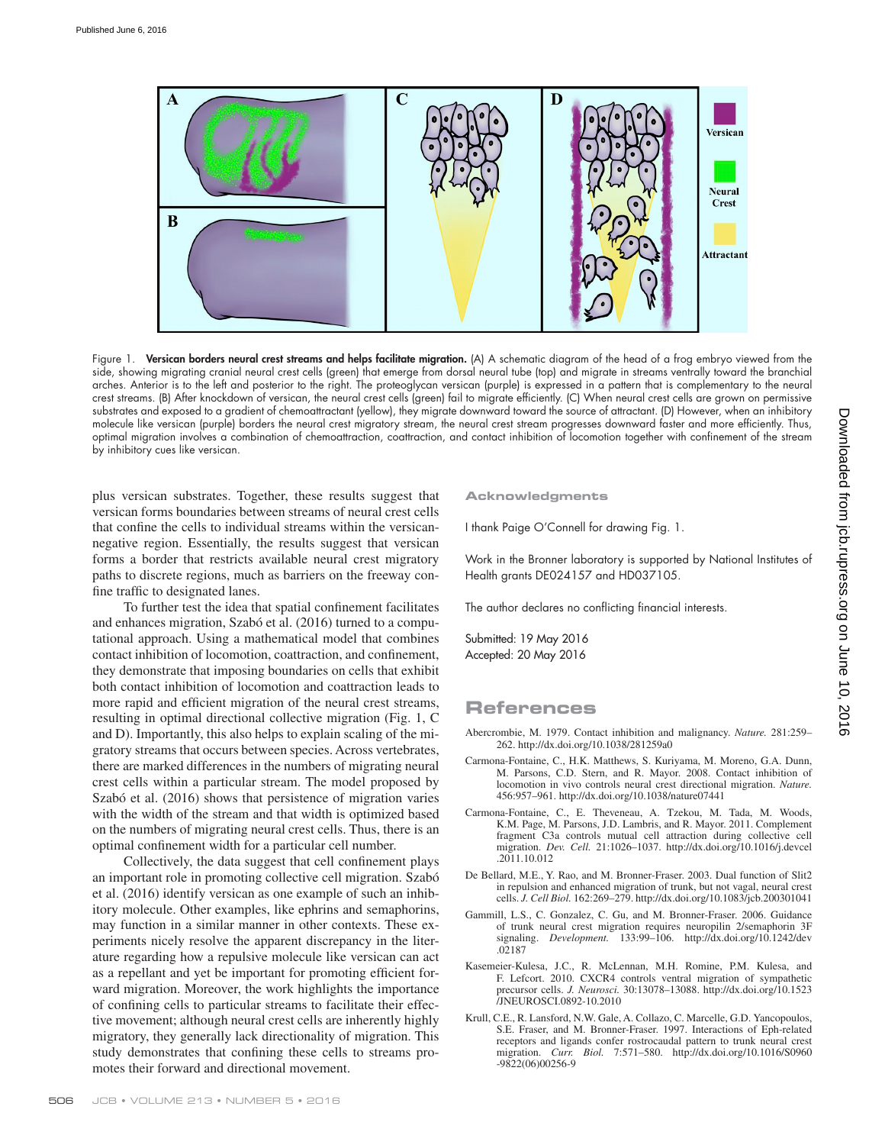

<span id="page-1-7"></span>Figure 1. Versican borders neural crest streams and helps facilitate migration. (A) A schematic diagram of the head of a frog embryo viewed from the side, showing migrating cranial neural crest cells (green) that emerge from dorsal neural tube (top) and migrate in streams ventrally toward the branchial arches. Anterior is to the left and posterior to the right. The proteoglycan versican (purple) is expressed in a pattern that is complementary to the neural crest streams. (B) After knockdown of versican, the neural crest cells (green) fail to migrate efficiently. (C) When neural crest cells are grown on permissive substrates and exposed to a gradient of chemoattractant (yellow), they migrate downward toward the source of attractant. (D) However, when an inhibitory molecule like versican (purple) borders the neural crest migratory stream, the neural crest stream progresses downward faster and more efficiently. Thus, optimal migration involves a combination of chemoattraction, coattraction, and contact inhibition of locomotion together with confinement of the stream by inhibitory cues like versican.

plus versican substrates. Together, these results suggest that versican forms boundaries between streams of neural crest cells that confine the cells to individual streams within the versicannegative region. Essentially, the results suggest that versican forms a border that restricts available neural crest migratory paths to discrete regions, much as barriers on the freeway confine traffic to designated lanes.

To further test the idea that spatial confinement facilitates and enhances migration, [Szabó et al. \(2016\)](#page-2-5) turned to a computational approach. Using a mathematical model that combines contact inhibition of locomotion, coattraction, and confinement, they demonstrate that imposing boundaries on cells that exhibit both contact inhibition of locomotion and coattraction leads to more rapid and efficient migration of the neural crest streams, resulting in optimal directional collective migration [\(Fig. 1, C](#page-1-7) [and D\)](#page-1-7). Importantly, this also helps to explain scaling of the migratory streams that occurs between species. Across vertebrates, there are marked differences in the numbers of migrating neural crest cells within a particular stream. The model proposed by [Szabó et al. \(2016\)](#page-2-5) shows that persistence of migration varies with the width of the stream and that width is optimized based on the numbers of migrating neural crest cells. Thus, there is an optimal confinement width for a particular cell number.

Collectively, the data suggest that cell confinement plays an important role in promoting collective cell migration. [Szabó](#page-2-5) [et al. \(2016\)](#page-2-5) identify versican as one example of such an inhibitory molecule. Other examples, like ephrins and semaphorins, may function in a similar manner in other contexts. These experiments nicely resolve the apparent discrepancy in the literature regarding how a repulsive molecule like versican can act as a repellant and yet be important for promoting efficient forward migration. Moreover, the work highlights the importance of confining cells to particular streams to facilitate their effective movement; although neural crest cells are inherently highly migratory, they generally lack directionality of migration. This study demonstrates that confining these cells to streams promotes their forward and directional movement.

**Acknowledgments**

I thank Paige O'Connell for drawing Fig. 1.

Work in the Bronner laboratory is supported by National Institutes of Health grants DE024157 and HD037105.

The author declares no conflicting financial interests.

Submitted: 19 May 2016 Accepted: 20 May 2016

## **References**

- <span id="page-1-4"></span>Abercrombie, M. 1979. Contact inhibition and malignancy. *Nature.* 281:259– 262. <http://dx.doi.org/10.1038/281259a0>
- <span id="page-1-5"></span>Carmona-Fontaine, C., H.K. Matthews, S. Kuriyama, M. Moreno, G.A. Dunn, M. Parsons, C.D. Stern, and R. Mayor. 2008. Contact inhibition of locomotion in vivo controls neural crest directional migration. *Nature.* 456:957–961. <http://dx.doi.org/10.1038/nature07441>
- <span id="page-1-6"></span>Carmona-Fontaine, C., E. Theveneau, A. Tzekou, M. Tada, M. Woods, K.M. Page, M. Parsons, J.D. Lambris, and R. Mayor. 2011. Complement fragment C3a controls mutual cell attraction during collective cell migration. *Dev. Cell.* 21:1026–1037. [http://dx.doi.org/10.1016/j.devcel](http://dx.doi.org/10.1016/j.devcel.2011.10.012) [.2011.10.012](http://dx.doi.org/10.1016/j.devcel.2011.10.012)
- <span id="page-1-3"></span>De Bellard, M.E., Y. Rao, and M. Bronner-Fraser. 2003. Dual function of Slit2 in repulsion and enhanced migration of trunk, but not vagal, neural crest cells. *J. Cell Biol.* 162:269–279.<http://dx.doi.org/10.1083/jcb.200301041>
- <span id="page-1-1"></span>Gammill, L.S., C. Gonzalez, C. Gu, and M. Bronner-Fraser. 2006. Guidance of trunk neural crest migration requires neuropilin 2/semaphorin 3F signaling. *Development.* 133:99–106. [http://dx.doi.org/10.1242/dev](http://dx.doi.org/10.1242/dev.02187) [.02187](http://dx.doi.org/10.1242/dev.02187)
- <span id="page-1-0"></span>Kasemeier-Kulesa, J.C., R. McLennan, M.H. Romine, P.M. Kulesa, and F. Lefcort. 2010. CXCR4 controls ventral migration of sympathetic precursor cells. *J. Neurosci.* 30:13078–13088. [http://dx.doi.org/10.1523](http://dx.doi.org/10.1523/JNEUROSCI.0892-10.2010) [/JNEUROSCI.0892-10.2010](http://dx.doi.org/10.1523/JNEUROSCI.0892-10.2010)
- <span id="page-1-2"></span>Krull, C.E., R. Lansford, N.W. Gale, A. Collazo, C. Marcelle, G.D. Yancopoulos, S.E. Fraser, and M. Bronner-Fraser. 1997. Interactions of Eph-related receptors and ligands confer rostrocaudal pattern to trunk neural crest migration. *Curr. Biol.* 7:571–580. [http://dx.doi.org/10.1016/S0960](http://dx.doi.org/10.1016/S0960-9822(06)00256-9) [-9822\(06\)00256-9](http://dx.doi.org/10.1016/S0960-9822(06)00256-9)